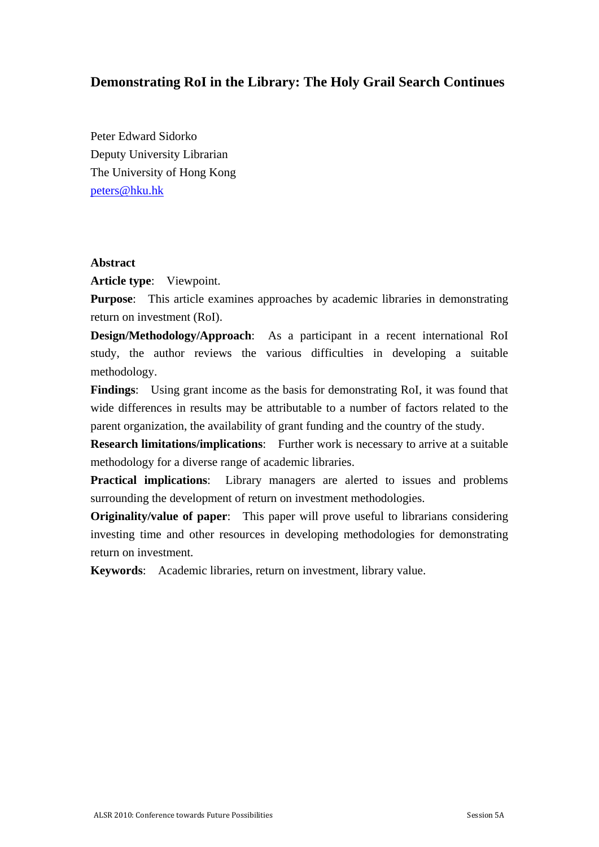# **Demonstrating RoI in the Library: The Holy Grail Search Continues**

Peter Edward Sidorko Deputy University Librarian The University of Hong Kong peters@hku.hk

#### **Abstract**

**Article type**: Viewpoint.

**Purpose**: This article examines approaches by academic libraries in demonstrating return on investment (RoI).

**Design/Methodology/Approach**: As a participant in a recent international RoI study, the author reviews the various difficulties in developing a suitable methodology.

**Findings**: Using grant income as the basis for demonstrating RoI, it was found that wide differences in results may be attributable to a number of factors related to the parent organization, the availability of grant funding and the country of the study.

**Research limitations/implications**: Further work is necessary to arrive at a suitable methodology for a diverse range of academic libraries.

**Practical implications**: Library managers are alerted to issues and problems surrounding the development of return on investment methodologies.

**Originality/value of paper**: This paper will prove useful to librarians considering investing time and other resources in developing methodologies for demonstrating return on investment.

**Keywords**: Academic libraries, return on investment, library value.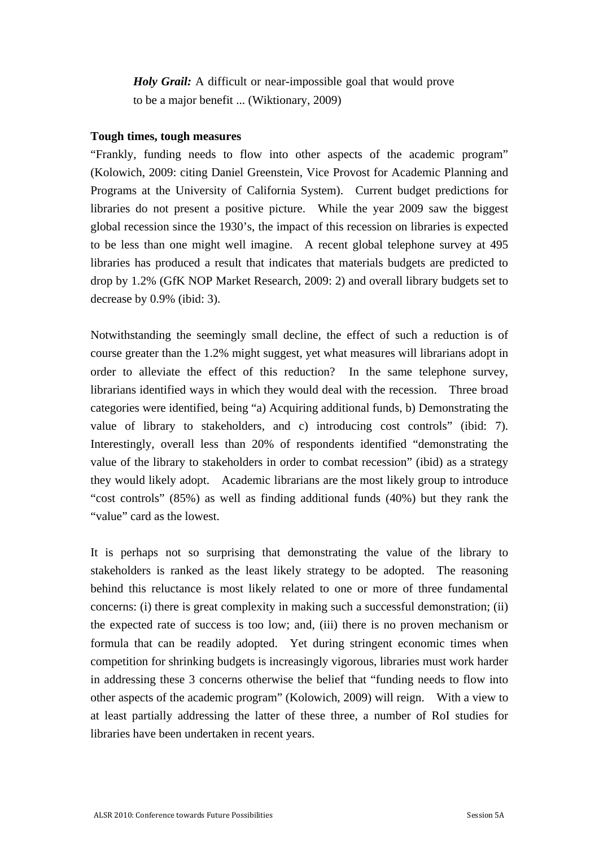*Holy Grail:* A difficult or near-impossible goal that would prove to be a major benefit ... (Wiktionary, 2009)

#### **Tough times, tough measures**

"Frankly, funding needs to flow into other aspects of the academic program" (Kolowich, 2009: citing Daniel Greenstein, Vice Provost for Academic Planning and Programs at the University of California System). Current budget predictions for libraries do not present a positive picture. While the year 2009 saw the biggest global recession since the 1930's, the impact of this recession on libraries is expected to be less than one might well imagine. A recent global telephone survey at 495 libraries has produced a result that indicates that materials budgets are predicted to drop by 1.2% (GfK NOP Market Research, 2009: 2) and overall library budgets set to decrease by 0.9% (ibid: 3).

Notwithstanding the seemingly small decline, the effect of such a reduction is of course greater than the 1.2% might suggest, yet what measures will librarians adopt in order to alleviate the effect of this reduction? In the same telephone survey, librarians identified ways in which they would deal with the recession. Three broad categories were identified, being "a) Acquiring additional funds, b) Demonstrating the value of library to stakeholders, and c) introducing cost controls" (ibid: 7). Interestingly, overall less than 20% of respondents identified "demonstrating the value of the library to stakeholders in order to combat recession" (ibid) as a strategy they would likely adopt. Academic librarians are the most likely group to introduce "cost controls" (85%) as well as finding additional funds (40%) but they rank the "value" card as the lowest.

It is perhaps not so surprising that demonstrating the value of the library to stakeholders is ranked as the least likely strategy to be adopted. The reasoning behind this reluctance is most likely related to one or more of three fundamental concerns: (i) there is great complexity in making such a successful demonstration; (ii) the expected rate of success is too low; and, (iii) there is no proven mechanism or formula that can be readily adopted. Yet during stringent economic times when competition for shrinking budgets is increasingly vigorous, libraries must work harder in addressing these 3 concerns otherwise the belief that "funding needs to flow into other aspects of the academic program" (Kolowich, 2009) will reign. With a view to at least partially addressing the latter of these three, a number of RoI studies for libraries have been undertaken in recent years.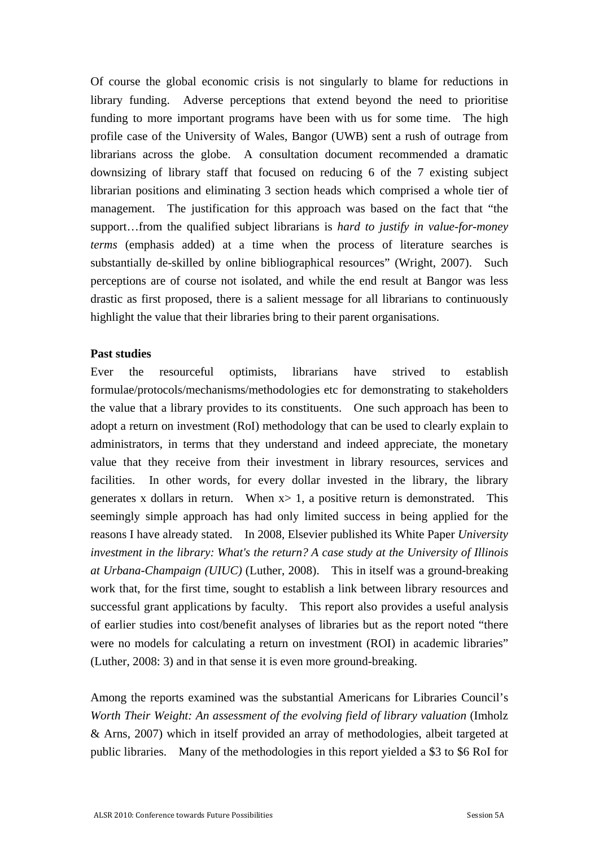Of course the global economic crisis is not singularly to blame for reductions in library funding. Adverse perceptions that extend beyond the need to prioritise funding to more important programs have been with us for some time. The high profile case of the University of Wales, Bangor (UWB) sent a rush of outrage from librarians across the globe. A consultation document recommended a dramatic downsizing of library staff that focused on reducing 6 of the 7 existing subject librarian positions and eliminating 3 section heads which comprised a whole tier of management. The justification for this approach was based on the fact that "the support…from the qualified subject librarians is *hard to justify in value-for-money terms* (emphasis added) at a time when the process of literature searches is substantially de-skilled by online bibliographical resources" (Wright, 2007). Such perceptions are of course not isolated, and while the end result at Bangor was less drastic as first proposed, there is a salient message for all librarians to continuously highlight the value that their libraries bring to their parent organisations.

#### **Past studies**

Ever the resourceful optimists, librarians have strived to establish formulae/protocols/mechanisms/methodologies etc for demonstrating to stakeholders the value that a library provides to its constituents. One such approach has been to adopt a return on investment (RoI) methodology that can be used to clearly explain to administrators, in terms that they understand and indeed appreciate, the monetary value that they receive from their investment in library resources, services and facilities. In other words, for every dollar invested in the library, the library generates x dollars in return. When  $x > 1$ , a positive return is demonstrated. This seemingly simple approach has had only limited success in being applied for the reasons I have already stated. In 2008, Elsevier published its White Paper *University investment in the library: What's the return? A case study at the University of Illinois at Urbana-Champaign (UIUC)* (Luther, 2008). This in itself was a ground-breaking work that, for the first time, sought to establish a link between library resources and successful grant applications by faculty. This report also provides a useful analysis of earlier studies into cost/benefit analyses of libraries but as the report noted "there were no models for calculating a return on investment (ROI) in academic libraries" (Luther, 2008: 3) and in that sense it is even more ground-breaking.

Among the reports examined was the substantial Americans for Libraries Council's *Worth Their Weight: An assessment of the evolving field of library valuation* (Imholz & Arns, 2007) which in itself provided an array of methodologies, albeit targeted at public libraries. Many of the methodologies in this report yielded a \$3 to \$6 RoI for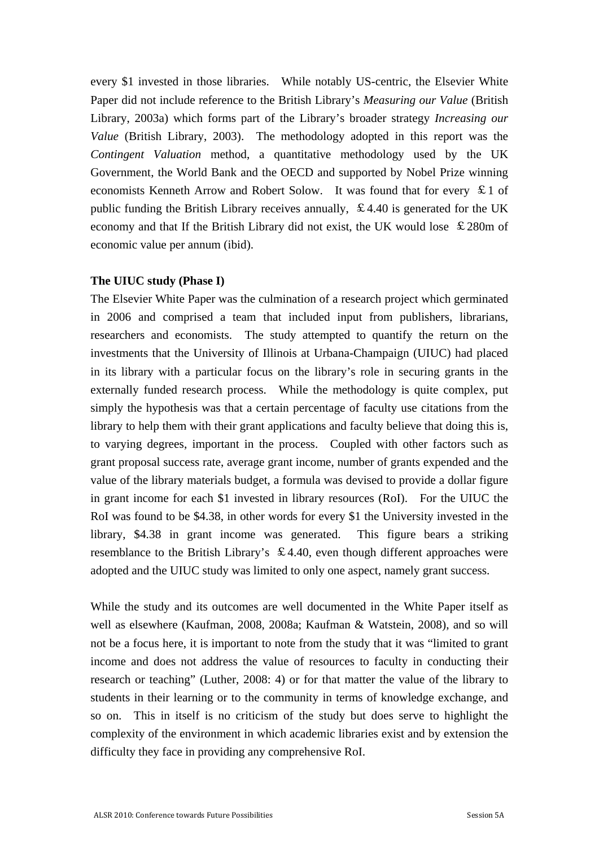every \$1 invested in those libraries. While notably US-centric, the Elsevier White Paper did not include reference to the British Library's *Measuring our Value* (British Library, 2003a) which forms part of the Library's broader strategy *Increasing our Value* (British Library, 2003). The methodology adopted in this report was the *Contingent Valuation* method, a quantitative methodology used by the UK Government, the World Bank and the OECD and supported by Nobel Prize winning economists Kenneth Arrow and Robert Solow. It was found that for every £1 of public funding the British Library receives annually,  $\&$  4.40 is generated for the UK economy and that If the British Library did not exist, the UK would lose £280m of economic value per annum (ibid).

#### **The UIUC study (Phase I)**

The Elsevier White Paper was the culmination of a research project which germinated in 2006 and comprised a team that included input from publishers, librarians, researchers and economists. The study attempted to quantify the return on the investments that the University of Illinois at Urbana-Champaign (UIUC) had placed in its library with a particular focus on the library's role in securing grants in the externally funded research process. While the methodology is quite complex, put simply the hypothesis was that a certain percentage of faculty use citations from the library to help them with their grant applications and faculty believe that doing this is, to varying degrees, important in the process. Coupled with other factors such as grant proposal success rate, average grant income, number of grants expended and the value of the library materials budget, a formula was devised to provide a dollar figure in grant income for each \$1 invested in library resources (RoI). For the UIUC the RoI was found to be \$4.38, in other words for every \$1 the University invested in the library, \$4.38 in grant income was generated. This figure bears a striking resemblance to the British Library's  $\& 4.40$ , even though different approaches were adopted and the UIUC study was limited to only one aspect, namely grant success.

While the study and its outcomes are well documented in the White Paper itself as well as elsewhere (Kaufman, 2008, 2008a; Kaufman & Watstein, 2008), and so will not be a focus here, it is important to note from the study that it was "limited to grant income and does not address the value of resources to faculty in conducting their research or teaching" (Luther, 2008: 4) or for that matter the value of the library to students in their learning or to the community in terms of knowledge exchange, and so on. This in itself is no criticism of the study but does serve to highlight the complexity of the environment in which academic libraries exist and by extension the difficulty they face in providing any comprehensive RoI.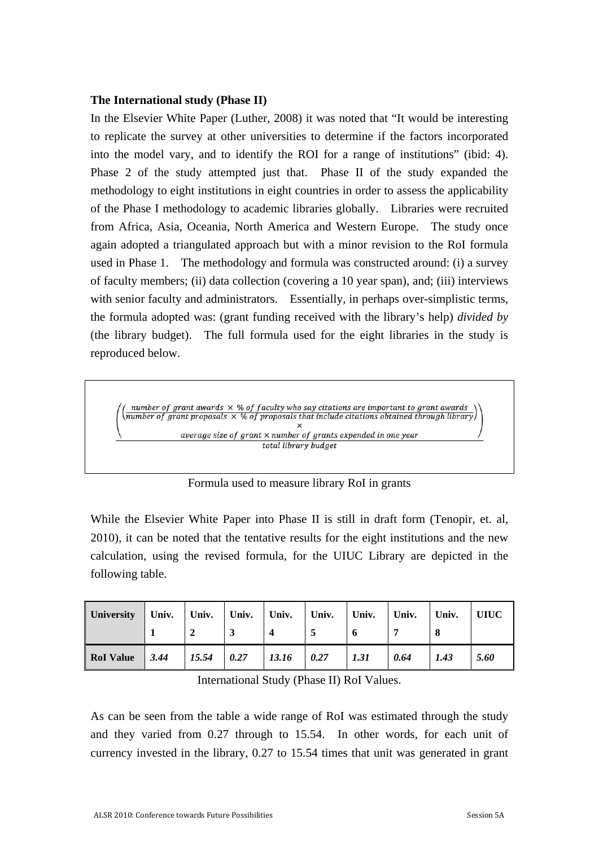#### **The International study (Phase II)**

In the Elsevier White Paper (Luther, 2008) it was noted that "It would be interesting to replicate the survey at other universities to determine if the factors incorporated into the model vary, and to identify the ROI for a range of institutions" (ibid: 4). Phase 2 of the study attempted just that. Phase II of the study expanded the methodology to eight institutions in eight countries in order to assess the applicability of the Phase I methodology to academic libraries globally. Libraries were recruited from Africa, Asia, Oceania, North America and Western Europe. The study once again adopted a triangulated approach but with a minor revision to the RoI formula used in Phase 1. The methodology and formula was constructed around: (i) a survey of faculty members; (ii) data collection (covering a 10 year span), and; (iii) interviews with senior faculty and administrators. Essentially, in perhaps over-simplistic terms, the formula adopted was: (grant funding received with the library's help) *divided by* (the library budget). The full formula used for the eight libraries in the study is reproduced below.

 $\frac{1}{n}$  number of grant awards  $\times$  % of faculty who say citations are important to grant awards<br> $\frac{1}{n}$  number of grant proposals  $\times$  % of proposals that include citations obtained through library,  $\times$ average size of grant x number of grants expended in one year total library budget

Formula used to measure library RoI in grants

While the Elsevier White Paper into Phase II is still in draft form (Tenopir, et. al, 2010), it can be noted that the tentative results for the eight institutions and the new calculation, using the revised formula, for the UIUC Library are depicted in the following table.

| University |      |              | Univ.   Univ.   Univ.   Univ.   Univ.   Univ.   Univ. |      |               | Univ. | <b>UIUC</b> |
|------------|------|--------------|-------------------------------------------------------|------|---------------|-------|-------------|
| RoI Value  | 3.44 | $15.54$ 0.27 | $13.16$ 0.27                                          | 1.31 | $\sqrt{0.64}$ | 1.43  | 5.60        |

International Study (Phase II) RoI Values.

As can be seen from the table a wide range of RoI was estimated through the study and they varied from 0.27 through to 15.54. In other words, for each unit of currency invested in the library, 0.27 to 15.54 times that unit was generated in grant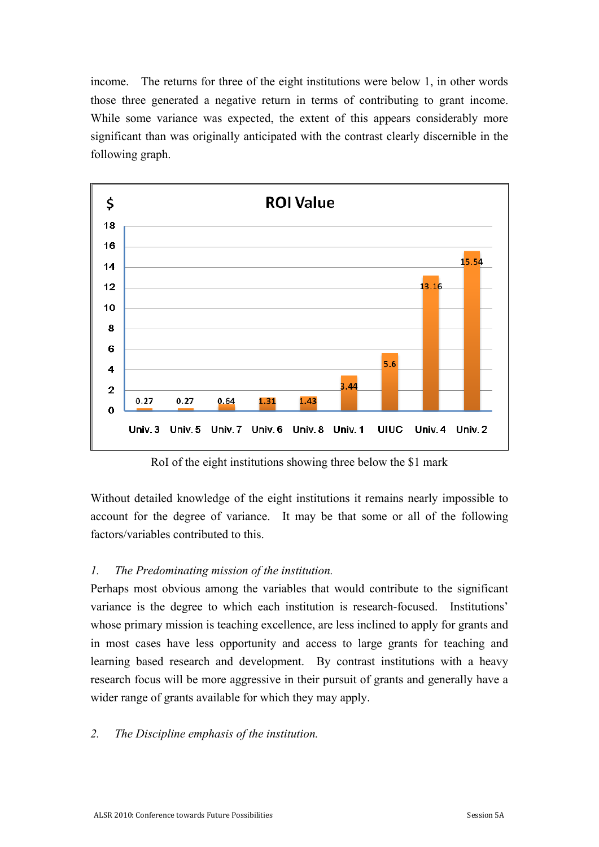income. The returns for three of the eight institutions were below 1, in other words those three generated a negative return in terms of contributing to grant income. While some variance was expected, the extent of this appears considerably more significant than was originally anticipated with the contrast clearly discernible in the following graph.



RoI of the eight institutions showing three below the \$1 mark

Without detailed knowledge of the eight institutions it remains nearly impossible to account for the degree of variance. It may be that some or all of the following factors/variables contributed to this.

# *1. The Predominating mission of the institution.*

Perhaps most obvious among the variables that would contribute to the significant variance is the degree to which each institution is research-focused. Institutions' whose primary mission is teaching excellence, are less inclined to apply for grants and in most cases have less opportunity and access to large grants for teaching and learning based research and development. By contrast institutions with a heavy research focus will be more aggressive in their pursuit of grants and generally have a wider range of grants available for which they may apply.

# *2. The Discipline emphasis of the institution.*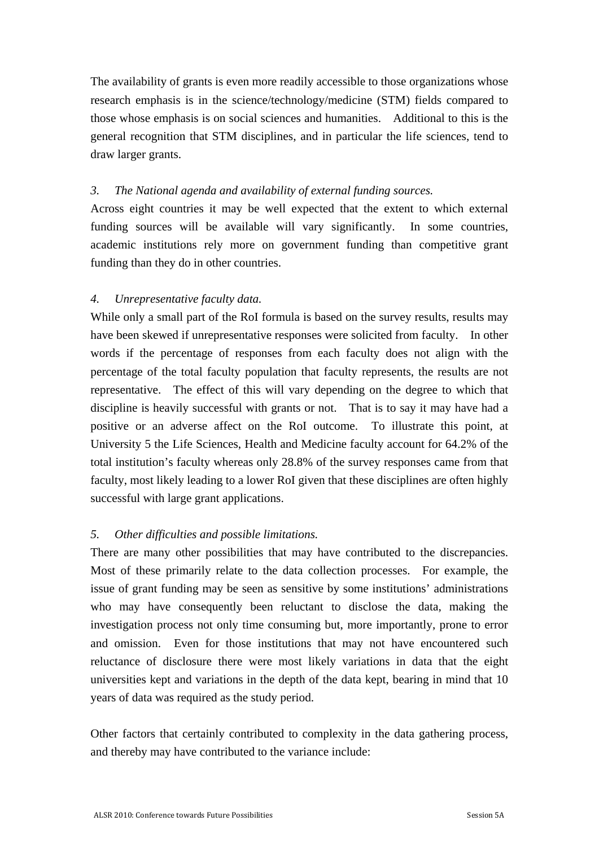The availability of grants is even more readily accessible to those organizations whose research emphasis is in the science/technology/medicine (STM) fields compared to those whose emphasis is on social sciences and humanities. Additional to this is the general recognition that STM disciplines, and in particular the life sciences, tend to draw larger grants.

# *3. The National agenda and availability of external funding sources.*

Across eight countries it may be well expected that the extent to which external funding sources will be available will vary significantly. In some countries, academic institutions rely more on government funding than competitive grant funding than they do in other countries.

# *4. Unrepresentative faculty data.*

While only a small part of the RoI formula is based on the survey results, results may have been skewed if unrepresentative responses were solicited from faculty. In other words if the percentage of responses from each faculty does not align with the percentage of the total faculty population that faculty represents, the results are not representative. The effect of this will vary depending on the degree to which that discipline is heavily successful with grants or not. That is to say it may have had a positive or an adverse affect on the RoI outcome. To illustrate this point, at University 5 the Life Sciences, Health and Medicine faculty account for 64.2% of the total institution's faculty whereas only 28.8% of the survey responses came from that faculty, most likely leading to a lower RoI given that these disciplines are often highly successful with large grant applications.

# *5. Other difficulties and possible limitations.*

There are many other possibilities that may have contributed to the discrepancies. Most of these primarily relate to the data collection processes. For example, the issue of grant funding may be seen as sensitive by some institutions' administrations who may have consequently been reluctant to disclose the data, making the investigation process not only time consuming but, more importantly, prone to error and omission. Even for those institutions that may not have encountered such reluctance of disclosure there were most likely variations in data that the eight universities kept and variations in the depth of the data kept, bearing in mind that 10 years of data was required as the study period.

Other factors that certainly contributed to complexity in the data gathering process, and thereby may have contributed to the variance include: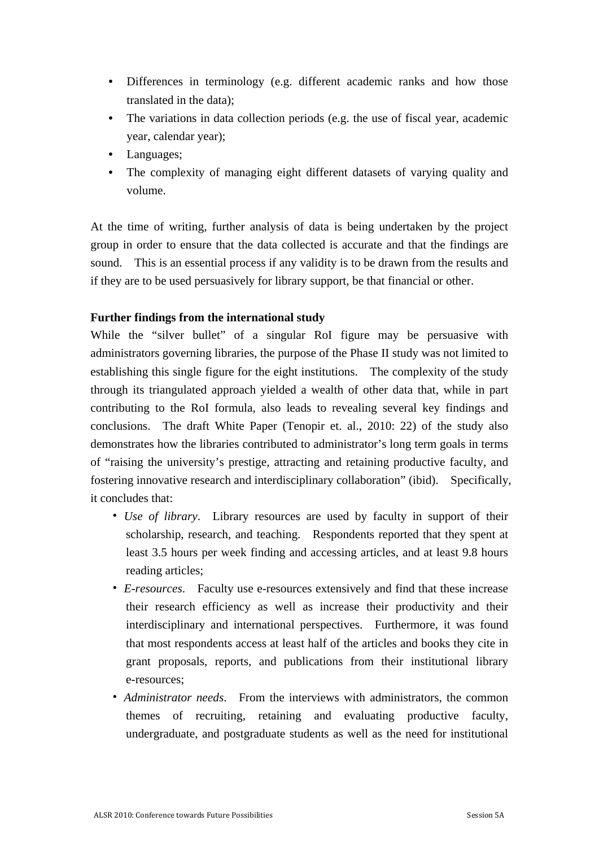- Differences in terminology (e.g. different academic ranks and how those translated in the data);
- The variations in data collection periods (e.g. the use of fiscal year, academic year, calendar year);
- Languages;
- The complexity of managing eight different datasets of varying quality and volume.

At the time of writing, further analysis of data is being undertaken by the project group in order to ensure that the data collected is accurate and that the findings are sound. This is an essential process if any validity is to be drawn from the results and if they are to be used persuasively for library support, be that financial or other.

# **Further findings from the international study**

While the "silver bullet" of a singular RoI figure may be persuasive with administrators governing libraries, the purpose of the Phase II study was not limited to establishing this single figure for the eight institutions. The complexity of the study through its triangulated approach yielded a wealth of other data that, while in part contributing to the RoI formula, also leads to revealing several key findings and conclusions. The draft White Paper (Tenopir et. al., 2010: 22) of the study also demonstrates how the libraries contributed to administrator's long term goals in terms of "raising the university's prestige, attracting and retaining productive faculty, and fostering innovative research and interdisciplinary collaboration" (ibid). Specifically, it concludes that:

- *Use of library*. Library resources are used by faculty in support of their scholarship, research, and teaching. Respondents reported that they spent at least 3.5 hours per week finding and accessing articles, and at least 9.8 hours reading articles;
- *E-resources*. Faculty use e-resources extensively and find that these increase their research efficiency as well as increase their productivity and their interdisciplinary and international perspectives. Furthermore, it was found that most respondents access at least half of the articles and books they cite in grant proposals, reports, and publications from their institutional library e-resources;
- *Administrator needs*. From the interviews with administrators, the common themes of recruiting, retaining and evaluating productive faculty, undergraduate, and postgraduate students as well as the need for institutional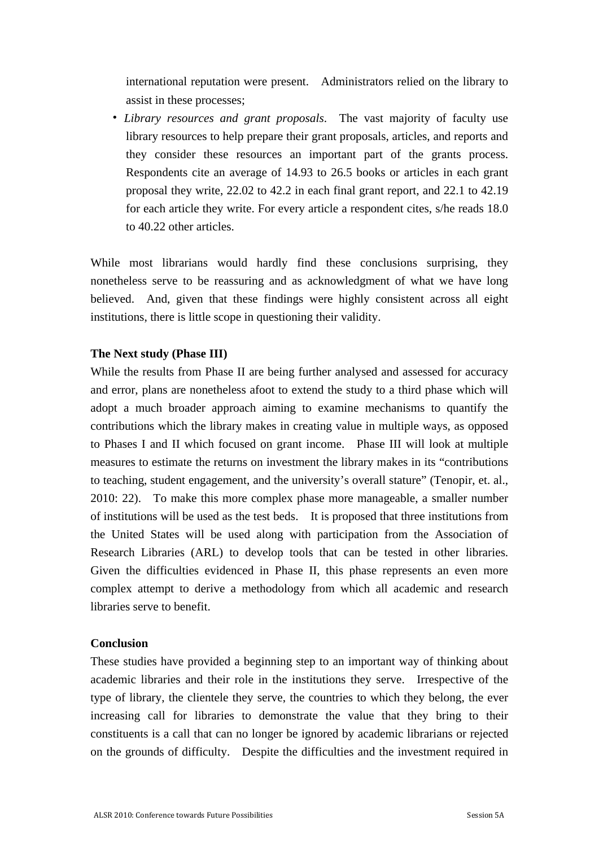international reputation were present. Administrators relied on the library to assist in these processes;

• *Library resources and grant proposals*. The vast majority of faculty use library resources to help prepare their grant proposals, articles, and reports and they consider these resources an important part of the grants process. Respondents cite an average of 14.93 to 26.5 books or articles in each grant proposal they write, 22.02 to 42.2 in each final grant report, and 22.1 to 42.19 for each article they write. For every article a respondent cites, s/he reads 18.0 to 40.22 other articles.

While most librarians would hardly find these conclusions surprising, they nonetheless serve to be reassuring and as acknowledgment of what we have long believed. And, given that these findings were highly consistent across all eight institutions, there is little scope in questioning their validity.

#### **The Next study (Phase III)**

While the results from Phase II are being further analysed and assessed for accuracy and error, plans are nonetheless afoot to extend the study to a third phase which will adopt a much broader approach aiming to examine mechanisms to quantify the contributions which the library makes in creating value in multiple ways, as opposed to Phases I and II which focused on grant income. Phase III will look at multiple measures to estimate the returns on investment the library makes in its "contributions to teaching, student engagement, and the university's overall stature" (Tenopir, et. al., 2010: 22). To make this more complex phase more manageable, a smaller number of institutions will be used as the test beds. It is proposed that three institutions from the United States will be used along with participation from the Association of Research Libraries (ARL) to develop tools that can be tested in other libraries. Given the difficulties evidenced in Phase II, this phase represents an even more complex attempt to derive a methodology from which all academic and research libraries serve to benefit.

#### **Conclusion**

These studies have provided a beginning step to an important way of thinking about academic libraries and their role in the institutions they serve. Irrespective of the type of library, the clientele they serve, the countries to which they belong, the ever increasing call for libraries to demonstrate the value that they bring to their constituents is a call that can no longer be ignored by academic librarians or rejected on the grounds of difficulty. Despite the difficulties and the investment required in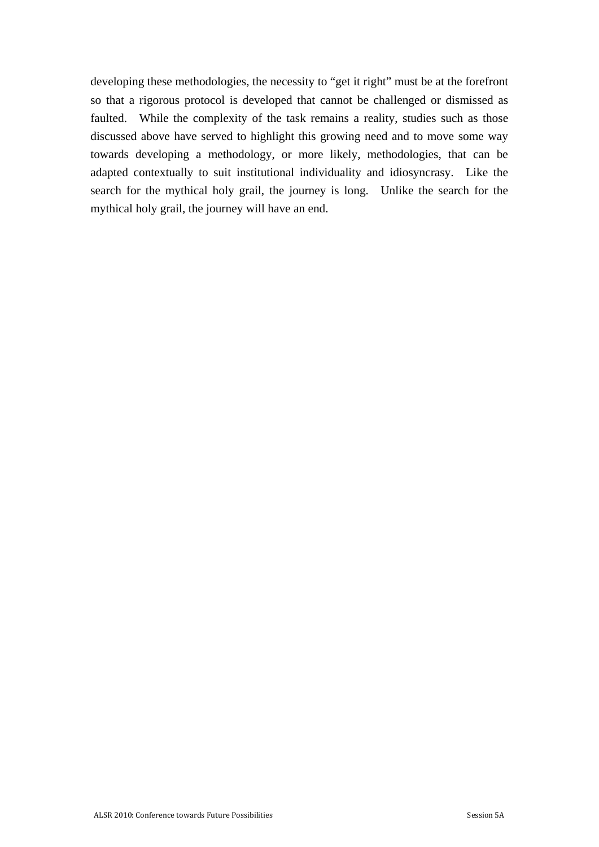developing these methodologies, the necessity to "get it right" must be at the forefront so that a rigorous protocol is developed that cannot be challenged or dismissed as faulted. While the complexity of the task remains a reality, studies such as those discussed above have served to highlight this growing need and to move some way towards developing a methodology, or more likely, methodologies, that can be adapted contextually to suit institutional individuality and idiosyncrasy. Like the search for the mythical holy grail, the journey is long. Unlike the search for the mythical holy grail, the journey will have an end.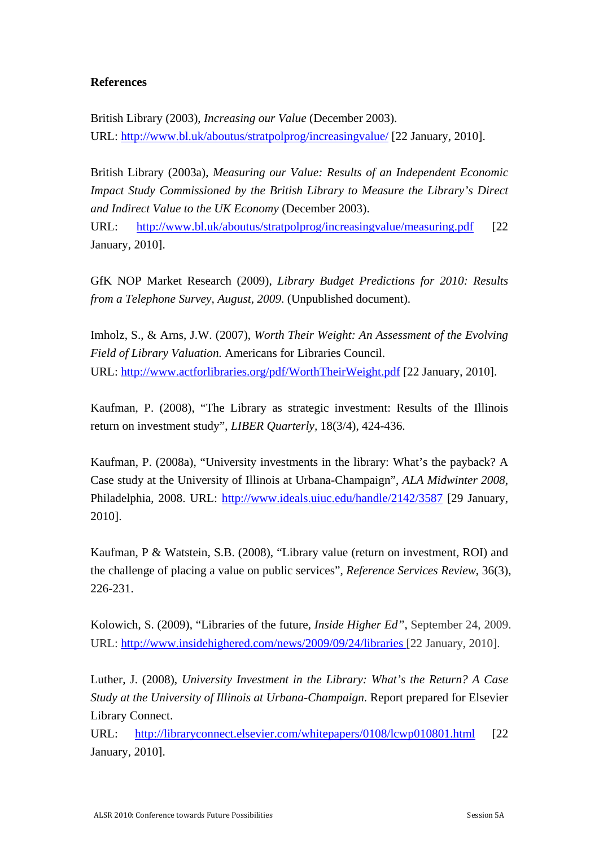# **References**

British Library (2003), *Increasing our Value* (December 2003). URL: http://www.bl.uk/aboutus/stratpolprog/increasingvalue/ [22 January, 2010].

British Library (2003a), *Measuring our Value: Results of an Independent Economic Impact Study Commissioned by the British Library to Measure the Library's Direct and Indirect Value to the UK Economy* (December 2003).

URL: http://www.bl.uk/aboutus/stratpolprog/increasingvalue/measuring.pdf [22] January, 2010].

GfK NOP Market Research (2009), *Library Budget Predictions for 2010: Results from a Telephone Survey, August, 2009*. (Unpublished document).

Imholz, S., & Arns, J.W. (2007), *Worth Their Weight: An Assessment of the Evolving Field of Library Valuation.* Americans for Libraries Council. URL: http://www.actforlibraries.org/pdf/WorthTheirWeight.pdf [22 January, 2010].

Kaufman, P. (2008), "The Library as strategic investment: Results of the Illinois return on investment study", *LIBER Quarterly,* 18(3/4), 424-436.

Kaufman, P. (2008a), "University investments in the library: What's the payback? A Case study at the University of Illinois at Urbana-Champaign", *ALA Midwinter 2008*, Philadelphia, 2008. URL: http://www.ideals.uiuc.edu/handle/2142/3587 [29 January, 2010].

Kaufman, P & Watstein, S.B. (2008), "Library value (return on investment, ROI) and the challenge of placing a value on public services", *Reference Services Review*, 36(3), 226-231.

Kolowich, S. (2009), "Libraries of the future, *Inside Higher Ed"*, September 24, 2009. URL: http://www.insidehighered.com/news/2009/09/24/libraries [22 January, 2010].

Luther, J. (2008), *University Investment in the Library: What's the Return? A Case Study at the University of Illinois at Urbana-Champaign*. Report prepared for Elsevier Library Connect.

URL: http://libraryconnect.elsevier.com/whitepapers/0108/lcwp010801.html [22] January, 2010].